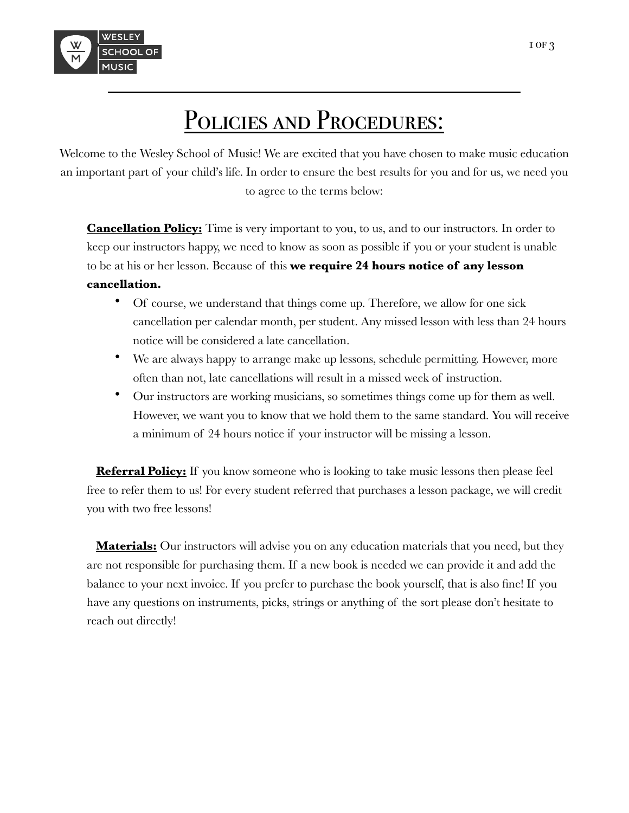

# POLICIES AND PROCEDURES:

Welcome to the Wesley School of Music! We are excited that you have chosen to make music education an important part of your child's life. In order to ensure the best results for you and for us, we need you to agree to the terms below:

**Cancellation Policy:** Time is very important to you, to us, and to our instructors. In order to keep our instructors happy, we need to know as soon as possible if you or your student is unable to be at his or her lesson. Because of this **we require 24 hours notice of any lesson cancellation.**

- Of course, we understand that things come up. Therefore, we allow for one sick cancellation per calendar month, per student. Any missed lesson with less than 24 hours notice will be considered a late cancellation.
- We are always happy to arrange make up lessons, schedule permitting. However, more often than not, late cancellations will result in a missed week of instruction.
- Our instructors are working musicians, so sometimes things come up for them as well. However, we want you to know that we hold them to the same standard. You will receive a minimum of 24 hours notice if your instructor will be missing a lesson.

**Referral Policy:** If you know someone who is looking to take music lessons then please feel free to refer them to us! For every student referred that purchases a lesson package, we will credit you with two free lessons!

**Materials:** Our instructors will advise you on any education materials that you need, but they are not responsible for purchasing them. If a new book is needed we can provide it and add the balance to your next invoice. If you prefer to purchase the book yourself, that is also fine! If you have any questions on instruments, picks, strings or anything of the sort please don't hesitate to reach out directly!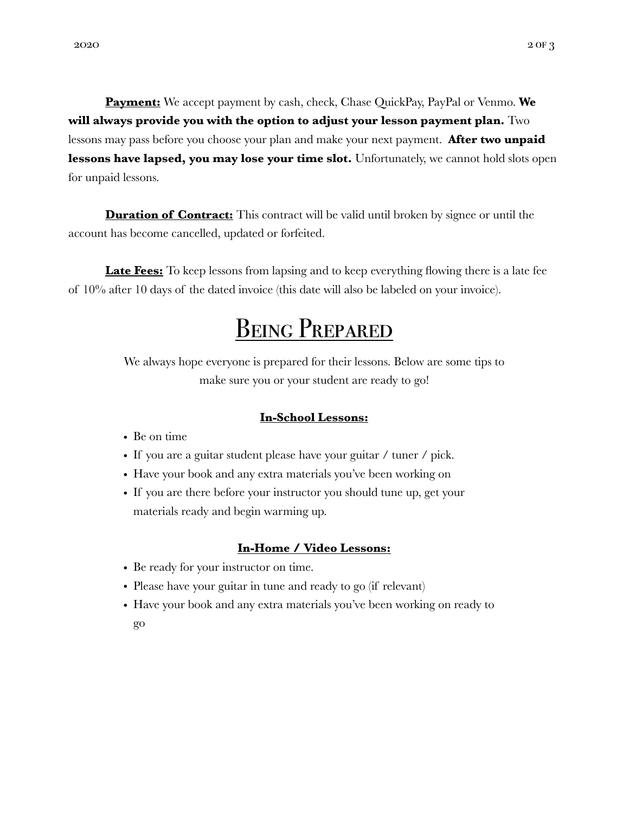**Payment:** We accept payment by cash, check, Chase QuickPay, PayPal or Venmo. **We will always provide you with the option to adjust your lesson payment plan.** Two lessons may pass before you choose your plan and make your next payment. **After two unpaid lessons have lapsed, you may lose your time slot.** Unfortunately, we cannot hold slots open for unpaid lessons.

**Duration of Contract:** This contract will be valid until broken by signee or until the account has become cancelled, updated or forfeited.

**Late Fees:** To keep lessons from lapsing and to keep everything flowing there is a late fee of 10% after 10 days of the dated invoice (this date will also be labeled on your invoice).

## Being Prepared

We always hope everyone is prepared for their lessons. Below are some tips to make sure you or your student are ready to go!

#### **In-School Lessons:**

- Be on time
- If you are a guitar student please have your guitar / tuner / pick.
- Have your book and any extra materials you've been working on
- If you are there before your instructor you should tune up, get your materials ready and begin warming up.

#### **In-Home / Video Lessons:**

- Be ready for your instructor on time.
- Please have your guitar in tune and ready to go (if relevant)
- Have your book and any extra materials you've been working on ready to go